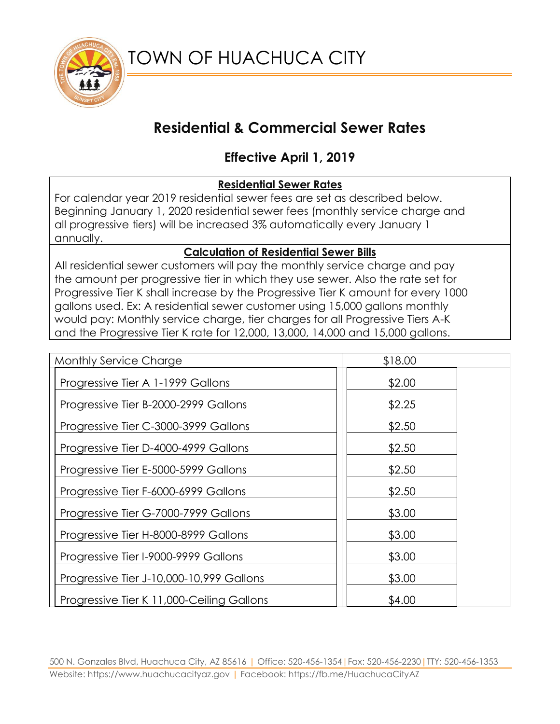

# **Residential & Commercial Sewer Rates**

## **Effective April 1, 2019**

### **Residential Sewer Rates**

For calendar year 2019 residential sewer fees are set as described below. Beginning January 1, 2020 residential sewer fees (monthly service charge and all progressive tiers) will be increased 3% automatically every January 1 annually.

#### **Calculation of Residential Sewer Bills**

All residential sewer customers will pay the monthly service charge and pay the amount per progressive tier in which they use sewer. Also the rate set for Progressive Tier K shall increase by the Progressive Tier K amount for every 1000 gallons used. Ex: A residential sewer customer using 15,000 gallons monthly would pay: Monthly service charge, tier charges for all Progressive Tiers A-K and the Progressive Tier K rate for 12,000, 13,000, 14,000 and 15,000 gallons.

| <b>Monthly Service Charge</b>             | \$18.00 |
|-------------------------------------------|---------|
| Progressive Tier A 1-1999 Gallons         | \$2.00  |
| Progressive Tier B-2000-2999 Gallons      | \$2.25  |
| Progressive Tier C-3000-3999 Gallons      | \$2.50  |
| Progressive Tier D-4000-4999 Gallons      | \$2.50  |
| Progressive Tier E-5000-5999 Gallons      | \$2.50  |
| Progressive Tier F-6000-6999 Gallons      | \$2.50  |
| Progressive Tier G-7000-7999 Gallons      | \$3.00  |
| Progressive Tier H-8000-8999 Gallons      | \$3.00  |
| Progressive Tier I-9000-9999 Gallons      | \$3.00  |
| Progressive Tier J-10,000-10,999 Gallons  | \$3.00  |
| Progressive Tier K 11,000-Ceiling Gallons | \$4.00  |